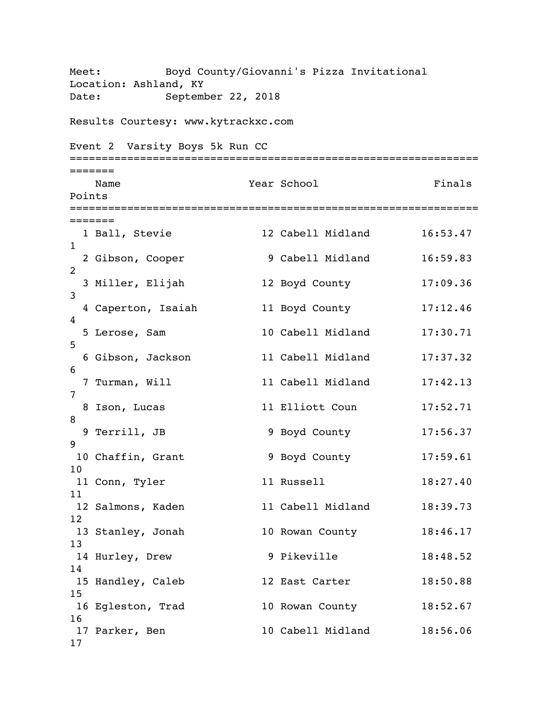Meet: Boyd County/Giovanni's Pizza Invitational Location: Ashland, KY Date: September 22, 2018 Results Courtesy: www.kytrackxc.com Event 2 Varsity Boys 5k Run CC ================================================================ ======= Name **Year School** Finals Points ================================================================ ======= 1 Ball, Stevie 12 Cabell Midland 16:53.47 1 2 Gibson, Cooper 9 Cabell Midland 16:59.83 2 3 Miller, Elijah 12 Boyd County 17:09.36 3 4 Caperton, Isaiah 11 Boyd County 17:12.46 4 5 Lerose, Sam 10 Cabell Midland 17:30.71 5 6 Gibson, Jackson 11 Cabell Midland 17:37.32 6 7 Turman, Will 11 Cabell Midland 17:42.13 7 8 Ison, Lucas 11 Elliott Coun 17:52.71 8 9 Terrill, JB 9 Boyd County 17:56.37 9 10 Chaffin, Grant 9 Boyd County 17:59.61 10 11 Conn, Tyler 11 Russell 18:27.40 11 12 Salmons, Kaden 11 Cabell Midland 18:39.73 12 13 Stanley, Jonah 10 Rowan County 18:46.17 13 14 Hurley, Drew 9 Pikeville 18:48.52 14 15 Handley, Caleb 12 East Carter 18:50.88 15 16 Egleston, Trad 10 Rowan County 18:52.67 16 17 Parker, Ben 10 Cabell Midland 18:56.06 17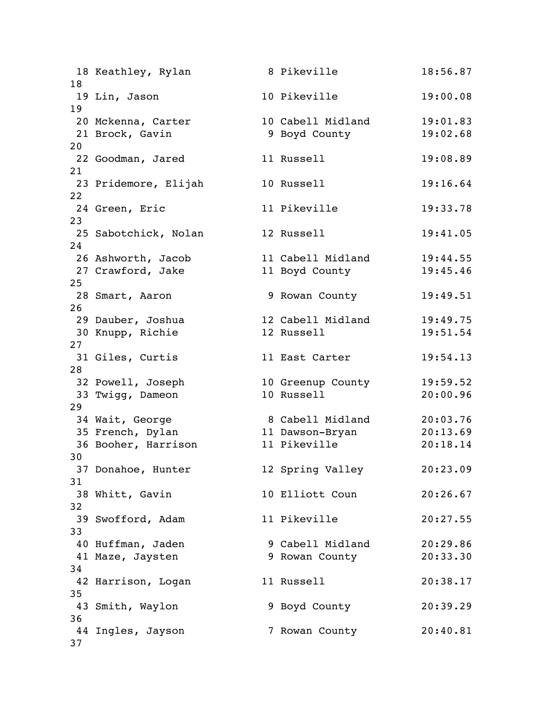| 18       | 18 Keathley, Rylan                    | 8 Pikeville                        | 18:56.87             |
|----------|---------------------------------------|------------------------------------|----------------------|
|          | 19 Lin, Jason                         | 10 Pikeville                       | 19:00.08             |
| 19       | 20 Mckenna, Carter<br>21 Brock, Gavin | 10 Cabell Midland<br>9 Boyd County | 19:01.83<br>19:02.68 |
| 20       | 22 Goodman, Jared                     | 11 Russell                         | 19:08.89             |
| 21<br>22 | 23 Pridemore, Elijah                  | 10 Russell                         | 19:16.64             |
| 23       | 24 Green, Eric                        | 11 Pikeville                       | 19:33.78             |
| 24       | 25 Sabotchick, Nolan                  | 12 Russell                         | 19:41.05             |
|          | 26 Ashworth, Jacob                    | 11 Cabell Midland                  | 19:44.55             |
|          | 27 Crawford, Jake                     | 11 Boyd County                     | 19:45.46             |
| 25       |                                       |                                    |                      |
| 26       | 28 Smart, Aaron                       | 9 Rowan County                     | 19:49.51             |
|          | 29 Dauber, Joshua                     | 12 Cabell Midland                  | 19:49.75             |
|          | 30 Knupp, Richie                      | 12 Russell                         | 19:51.54             |
| 27       |                                       |                                    |                      |
|          | 31 Giles, Curtis                      | 11 East Carter                     | 19:54.13             |
| 28       |                                       |                                    |                      |
|          | 32 Powell, Joseph                     | 10 Greenup County                  | 19:59.52             |
|          | 33 Twigg, Dameon                      | 10 Russell                         | 20:00.96             |
| 29       | 34 Wait, George                       | 8 Cabell Midland                   | 20:03.76             |
|          | 35 French, Dylan                      | 11 Dawson-Bryan                    | 20:13.69             |
|          | 36 Booher, Harrison                   | 11 Pikeville                       | 20:18.14             |
| 30       |                                       |                                    |                      |
|          | 37 Donahoe, Hunter                    | 12 Spring Valley                   | 20:23.09             |
| 31       |                                       |                                    |                      |
| 32       | 38 Whitt, Gavin                       | 10 Elliott Coun                    | 20:26.67             |
| 33       | 39 Swofford, Adam                     | 11 Pikeville                       | 20:27.55             |
|          | 40 Huffman, Jaden                     | 9 Cabell Midland                   | 20:29.86             |
| 34       | 41 Maze, Jaysten                      | 9 Rowan County                     | 20:33.30             |
| 35       | 42 Harrison, Logan                    | 11 Russell                         | 20:38.17             |
| 36       | 43 Smith, Waylon                      | 9 Boyd County                      | 20:39.29             |
| 37       | 44 Ingles, Jayson                     | 7 Rowan County                     | 20:40.81             |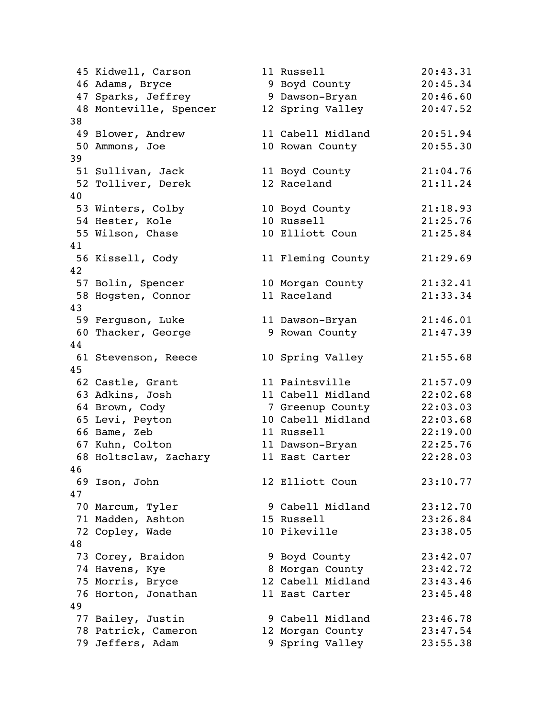|    | 45 Kidwell, Carson     |  | 11 Russell        | 20:43.31 |  |  |
|----|------------------------|--|-------------------|----------|--|--|
|    | 46 Adams, Bryce        |  | 9 Boyd County     | 20:45.34 |  |  |
|    | 47 Sparks, Jeffrey     |  | 9 Dawson-Bryan    | 20:46.60 |  |  |
|    | 48 Monteville, Spencer |  | 12 Spring Valley  | 20:47.52 |  |  |
| 38 |                        |  |                   |          |  |  |
|    | 49 Blower, Andrew      |  | 11 Cabell Midland | 20:51.94 |  |  |
|    | 50 Ammons, Joe         |  | 10 Rowan County   | 20:55.30 |  |  |
| 39 |                        |  |                   |          |  |  |
|    | 51 Sullivan, Jack      |  | 11 Boyd County    | 21:04.76 |  |  |
|    | 52 Tolliver, Derek     |  | 12 Raceland       | 21:11.24 |  |  |
| 40 |                        |  |                   |          |  |  |
|    | 53 Winters, Colby      |  | 10 Boyd County    | 21:18.93 |  |  |
|    | 54 Hester, Kole        |  | 10 Russell        | 21:25.76 |  |  |
|    | 55 Wilson, Chase       |  | 10 Elliott Coun   | 21:25.84 |  |  |
| 41 |                        |  |                   |          |  |  |
|    | 56 Kissell, Cody       |  | 11 Fleming County | 21:29.69 |  |  |
| 42 |                        |  |                   |          |  |  |
|    | 57 Bolin, Spencer      |  | 10 Morgan County  | 21:32.41 |  |  |
|    | 58 Hogsten, Connor     |  | 11 Raceland       | 21:33.34 |  |  |
| 43 |                        |  |                   |          |  |  |
|    | 59 Ferguson, Luke      |  | 11 Dawson-Bryan   | 21:46.01 |  |  |
|    | 60 Thacker, George     |  | 9 Rowan County    | 21:47.39 |  |  |
| 44 |                        |  |                   |          |  |  |
|    | 61 Stevenson, Reece    |  | 10 Spring Valley  | 21:55.68 |  |  |
| 45 |                        |  |                   |          |  |  |
|    | 62 Castle, Grant       |  | 11 Paintsville    | 21:57.09 |  |  |
|    | 63 Adkins, Josh        |  | 11 Cabell Midland | 22:02.68 |  |  |
|    | 64 Brown, Cody         |  | 7 Greenup County  | 22:03.03 |  |  |
|    | 65 Levi, Peyton        |  | 10 Cabell Midland | 22:03.68 |  |  |
|    | 66 Bame, Zeb           |  | 11 Russell        | 22:19.00 |  |  |
|    | 67 Kuhn, Colton        |  | 11 Dawson-Bryan   | 22:25.76 |  |  |
|    | 68 Holtsclaw, Zachary  |  | 11 East Carter    | 22:28.03 |  |  |
| 46 |                        |  |                   |          |  |  |
|    | 69 Ison, John          |  | 12 Elliott Coun   | 23:10.77 |  |  |
| 47 |                        |  |                   |          |  |  |
|    | 70 Marcum, Tyler       |  | 9 Cabell Midland  | 23:12.70 |  |  |
|    | 71 Madden, Ashton      |  | 15 Russell        | 23:26.84 |  |  |
|    | 72 Copley, Wade        |  | 10 Pikeville      | 23:38.05 |  |  |
| 48 |                        |  |                   |          |  |  |
|    | 73 Corey, Braidon      |  | 9 Boyd County     | 23:42.07 |  |  |
|    | 74 Havens, Kye         |  | 8 Morgan County   | 23:42.72 |  |  |
|    | 75 Morris, Bryce       |  | 12 Cabell Midland | 23:43.46 |  |  |
|    | 76 Horton, Jonathan    |  | 11 East Carter    | 23:45.48 |  |  |
| 49 |                        |  |                   |          |  |  |
|    | 77 Bailey, Justin      |  | 9 Cabell Midland  | 23:46.78 |  |  |
|    | 78 Patrick, Cameron    |  | 12 Morgan County  | 23:47.54 |  |  |
|    | 79 Jeffers, Adam       |  | 9 Spring Valley   | 23:55.38 |  |  |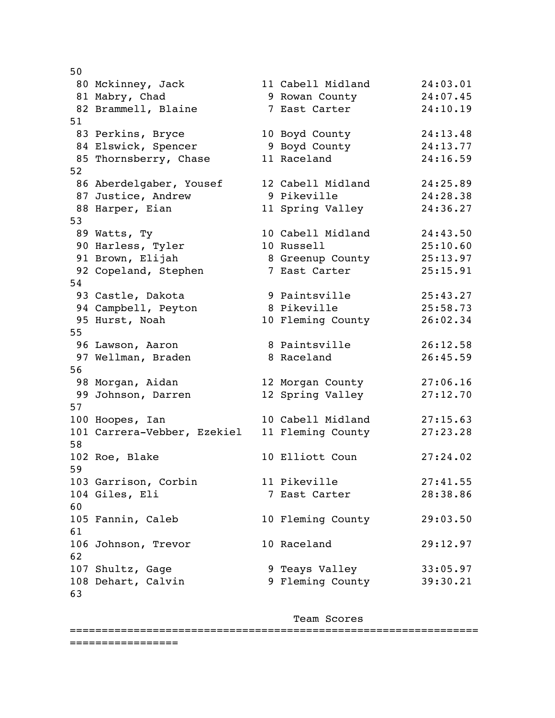| 50 |                             |                   |          |
|----|-----------------------------|-------------------|----------|
|    | 80 Mckinney, Jack           | 11 Cabell Midland | 24:03.01 |
|    | 81 Mabry, Chad              | 9 Rowan County    | 24:07.45 |
|    | 82 Brammell, Blaine         | 7 East Carter     | 24:10.19 |
| 51 |                             |                   |          |
|    | 83 Perkins, Bryce           | 10 Boyd County    | 24:13.48 |
|    | 84 Elswick, Spencer         | 9 Boyd County     | 24:13.77 |
|    | 85 Thornsberry, Chase       | 11 Raceland       | 24:16.59 |
| 52 |                             |                   |          |
|    | 86 Aberdelgaber, Yousef     | 12 Cabell Midland | 24:25.89 |
|    | 87 Justice, Andrew          | 9 Pikeville       | 24:28.38 |
|    | 88 Harper, Eian             | 11 Spring Valley  | 24:36.27 |
| 53 |                             |                   |          |
|    | 89 Watts, Ty                | 10 Cabell Midland | 24:43.50 |
|    | 90 Harless, Tyler           | 10 Russell        | 25:10.60 |
|    | 91 Brown, Elijah            | 8 Greenup County  | 25:13.97 |
|    | 92 Copeland, Stephen        | 7 East Carter     | 25:15.91 |
| 54 |                             |                   |          |
|    | 93 Castle, Dakota           | 9 Paintsville     | 25:43.27 |
|    | 94 Campbell, Peyton         | 8 Pikeville       | 25:58.73 |
|    | 95 Hurst, Noah              | 10 Fleming County | 26:02.34 |
| 55 |                             |                   |          |
|    | 96 Lawson, Aaron            | 8 Paintsville     | 26:12.58 |
|    | 97 Wellman, Braden          | 8 Raceland        | 26:45.59 |
| 56 |                             |                   |          |
|    | 98 Morgan, Aidan            | 12 Morgan County  | 27:06.16 |
|    | 99 Johnson, Darren          | 12 Spring Valley  | 27:12.70 |
| 57 |                             |                   |          |
|    | 100 Hoopes, Ian             | 10 Cabell Midland | 27:15.63 |
| 58 | 101 Carrera-Vebber, Ezekiel | 11 Fleming County | 27:23.28 |
|    | 102 Roe, Blake              | 10 Elliott Coun   | 27:24.02 |
| 59 |                             |                   |          |
|    | 103 Garrison, Corbin        | 11 Pikeville      | 27:41.55 |
|    | 104 Giles, Eli              | 7 East Carter     | 28:38.86 |
| 60 |                             |                   |          |
|    | 105 Fannin, Caleb           | 10 Fleming County | 29:03.50 |
| 61 |                             |                   |          |
|    | 106 Johnson, Trevor         | 10 Raceland       | 29:12.97 |
| 62 |                             |                   |          |
|    | 107 Shultz, Gage            | 9 Teays Valley    | 33:05.97 |
|    | 108 Dehart, Calvin          | 9 Fleming County  | 39:30.21 |
| 63 |                             |                   |          |

Team Scores

================================================================ =================